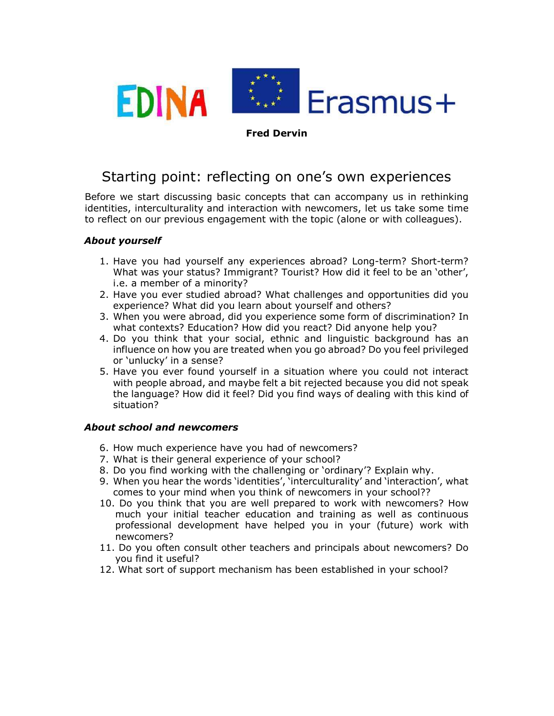

### Fred Dervin

# Starting point: reflecting on one's own experiences

Before we start discussing basic concepts that can accompany us in rethinking identities, interculturality and interaction with newcomers, let us take some time to reflect on our previous engagement with the topic (alone or with colleagues).

# About yourself

- 1. Have you had yourself any experiences abroad? Long-term? Short-term? What was your status? Immigrant? Tourist? How did it feel to be an 'other', i.e. a member of a minority?
- 2. Have you ever studied abroad? What challenges and opportunities did you experience? What did you learn about yourself and others?
- 3. When you were abroad, did you experience some form of discrimination? In what contexts? Education? How did you react? Did anyone help you?
- 4. Do you think that your social, ethnic and linguistic background has an influence on how you are treated when you go abroad? Do you feel privileged or 'unlucky' in a sense?
- 5. Have you ever found yourself in a situation where you could not interact with people abroad, and maybe felt a bit rejected because you did not speak the language? How did it feel? Did you find ways of dealing with this kind of situation?

# About school and newcomers

- 6. How much experience have you had of newcomers?
- 7. What is their general experience of your school?
- 8. Do you find working with the challenging or 'ordinary'? Explain why.
- 9. When you hear the words 'identities', 'interculturality' and 'interaction', what comes to your mind when you think of newcomers in your school??
- 10. Do you think that you are well prepared to work with newcomers? How much your initial teacher education and training as well as continuous professional development have helped you in your (future) work with newcomers?
- 11. Do you often consult other teachers and principals about newcomers? Do you find it useful?
- 12. What sort of support mechanism has been established in your school?